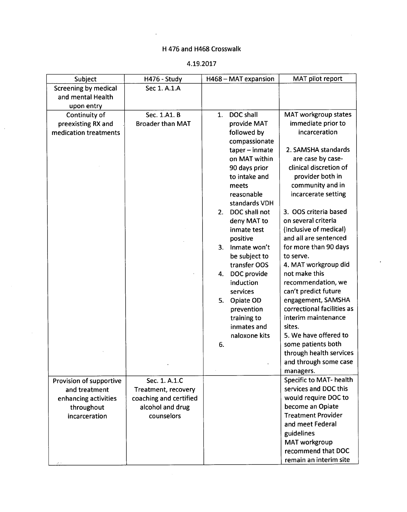## H 476 and H468 Crosswalk

## 4.19.2017

| Subject                     | H476 - Study            | H468 - MAT expansion          | MAT pilot report                      |
|-----------------------------|-------------------------|-------------------------------|---------------------------------------|
| <b>Screening by medical</b> | Sec 1. A.1.A            |                               |                                       |
| and mental Health           |                         |                               |                                       |
| upon entry                  |                         |                               |                                       |
| Continuity of               | Sec. 1.A1. B            | DOC shall<br>1.               | MAT workgroup states                  |
| preexisting RX and          | <b>Broader than MAT</b> | provide MAT                   | immediate prior to                    |
| medication treatments       |                         | followed by                   | incarceration                         |
|                             |                         | compassionate                 |                                       |
|                             |                         | taper - inmate                | 2. SAMSHA standards                   |
|                             |                         | on MAT within                 | are case by case-                     |
|                             |                         | 90 days prior                 | clinical discretion of                |
|                             |                         | to intake and                 | provider both in                      |
|                             |                         | meets                         | community and in                      |
|                             |                         | reasonable                    | incarcerate setting                   |
|                             |                         | standards VDH                 |                                       |
|                             |                         | DOC shall not<br>2.           | 3. OOS criteria based                 |
|                             |                         | deny MAT to                   | on several criteria                   |
|                             |                         | inmate test                   | (inclusive of medical)                |
|                             |                         | positive                      | and all are sentenced                 |
|                             |                         | Inmate won't<br>3.            | for more than 90 days                 |
|                             |                         | be subject to                 | to serve.                             |
|                             |                         | transfer OOS                  | 4. MAT workgroup did<br>not make this |
|                             |                         | DOC provide<br>4.             | recommendation, we                    |
|                             |                         | induction<br>services         | can't predict future                  |
|                             |                         |                               | engagement, SAMSHA                    |
|                             |                         | Opiate OD<br>5.<br>prevention | correctional facilities as            |
|                             |                         | training to                   | interim maintenance                   |
|                             |                         | inmates and                   | sites.                                |
|                             |                         | naloxone kits                 | 5. We have offered to                 |
|                             |                         | 6.                            | some patients both                    |
|                             |                         |                               | through health services               |
|                             |                         |                               | and through some case                 |
|                             |                         |                               | managers.                             |
| Provision of supportive     | Sec. 1. A.1.C           |                               | Specific to MAT- health               |
| and treatment               | Treatment, recovery     |                               | services and DOC this                 |
| enhancing activities        | coaching and certified  |                               | would require DOC to                  |
| throughout                  | alcohol and drug        |                               | become an Opiate                      |
| incarceration               | counselors              |                               | <b>Treatment Provider</b>             |
|                             |                         |                               | and meet Federal                      |
|                             |                         |                               | guidelines                            |
|                             |                         |                               | MAT workgroup                         |
|                             |                         |                               | recommend that DOC                    |
|                             |                         |                               | remain an interim site                |